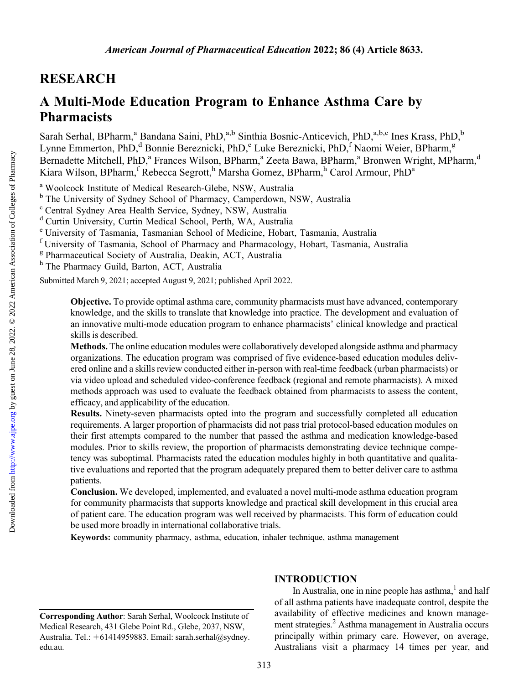# RESEARCH

# A Multi-Mode Education Program to Enhance Asthma Care by Pharmacists

Sarah Serhal, BPharm,<sup>a</sup> Bandana Saini, PhD,<sup>a,b</sup> Sinthia Bosnic-Anticevich, PhD,<sup>a,b,c</sup> Ines Krass, PhD,<sup>b</sup> Lynne Emmerton, PhD,<sup>d</sup> Bonnie Bereznicki, PhD,<sup>e</sup> Luke Bereznicki, PhD,<sup>f</sup> Naomi Weier, BPharm,<sup>g</sup> Bernadette Mitchell, PhD,<sup>a</sup> Frances Wilson, BPharm,<sup>a</sup> Zeeta Bawa, BPharm,<sup>a</sup> Bronwen Wright, MPharm,<sup>d</sup> Kiara Wilson, BPharm,<sup>f</sup> Rebecca Segrott,<sup>h</sup> Marsha Gomez, BPharm,<sup>h</sup> Carol Armour, PhD<sup>a</sup>

<sup>a</sup> Woolcock Institute of Medical Research-Glebe, NSW, Australia

<sup>b</sup> The University of Sydney School of Pharmacy, Camperdown, NSW, Australia

<sup>c</sup> Central Sydney Area Health Service, Sydney, NSW, Australia

<sup>d</sup> Curtin University, Curtin Medical School, Perth, WA, Australia

<sup>e</sup> University of Tasmania, Tasmanian School of Medicine, Hobart, Tasmania, Australia

<sup>f</sup> University of Tasmania, School of Pharmacy and Pharmacology, Hobart, Tasmania, Australia

<sup>g</sup> Pharmaceutical Society of Australia, Deakin, ACT, Australia

h The Pharmacy Guild, Barton, ACT, Australia

Submitted March 9, 2021; accepted August 9, 2021; published April 2022.

Objective. To provide optimal asthma care, community pharmacists must have advanced, contemporary knowledge, and the skills to translate that knowledge into practice. The development and evaluation of an innovative multi-mode education program to enhance pharmacists' clinical knowledge and practical skills is described.

Methods. The online education modules were collaboratively developed alongside asthma and pharmacy organizations. The education program was comprised of five evidence-based education modules delivered online and a skills review conducted either in-person with real-time feedback (urban pharmacists) or via video upload and scheduled video-conference feedback (regional and remote pharmacists). A mixed methods approach was used to evaluate the feedback obtained from pharmacists to assess the content, efficacy, and applicability of the education.

Results. Ninety-seven pharmacists opted into the program and successfully completed all education requirements. A larger proportion of pharmacists did not pass trial protocol-based education modules on their first attempts compared to the number that passed the asthma and medication knowledge-based modules. Prior to skills review, the proportion of pharmacists demonstrating device technique competency was suboptimal. Pharmacists rated the education modules highly in both quantitative and qualitative evaluations and reported that the program adequately prepared them to better deliver care to asthma patients.

Conclusion. We developed, implemented, and evaluated a novel multi-mode asthma education program for community pharmacists that supports knowledge and practical skill development in this crucial area of patient care. The education program was well received by pharmacists. This form of education could be used more broadly in international collaborative trials.

Keywords: community pharmacy, asthma, education, inhaler technique, asthma management

# INTRODUCTION

In Australia, one in nine people has asthma, $<sup>1</sup>$  $<sup>1</sup>$  $<sup>1</sup>$  and half</sup> of all asthma patients have inadequate control, despite the availability of effective medicines and known management strategies.[2](#page-8-0) Asthma management in Australia occurs principally within primary care. However, on average, Australians visit a pharmacy 14 times per year, and

Corresponding Author: Sarah Serhal, Woolcock Institute of Medical Research, 431 Glebe Point Rd., Glebe, 2037, NSW, Australia. Tel.: +61414959883. Email: [sarah.serhal@sydney.](mailto:sarah.serhal@sydney.edu.au) [edu.au.](mailto:sarah.serhal@sydney.edu.au)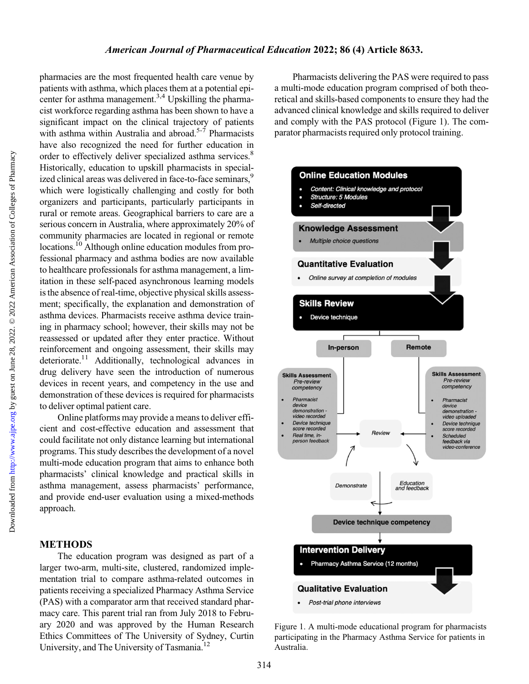Downloaded from http://www.ajpe.org by guest on June 28, 2022. © 2022 American Association of Colleges of Pharmacy by guest on June 28, 2022. © 2022 American Association of Colleges of Pharmacy <http://www.ajpe.org> Downloaded from

<span id="page-1-0"></span>pharmacies are the most frequented health care venue by patients with asthma, which places them at a potential epicenter for asthma management.<sup>3,4</sup> Upskilling the pharmacist workforce regarding asthma has been shown to have a significant impact on the clinical trajectory of patients with asthma within Australia and abroad.<sup>5-7</sup> Pharmacists have also recognized the need for further education in order to effectively deliver specialized asthma services.<sup>[8](#page-8-0)</sup> Historically, education to upskill pharmacists in special-ized clinical areas was delivered in face-to-face seminars,<sup>[9](#page-8-0)</sup> which were logistically challenging and costly for both organizers and participants, particularly participants in rural or remote areas. Geographical barriers to care are a serious concern in Australia, where approximately 20% of community pharmacies are located in regional or remote locations.<sup>10</sup> Although online education modules from professional pharmacy and asthma bodies are now available to healthcare professionals for asthma management, a limitation in these self-paced asynchronous learning models is the absence of real-time, objective physical skills assessment; specifically, the explanation and demonstration of asthma devices. Pharmacists receive asthma device training in pharmacy school; however, their skills may not be reassessed or updated after they enter practice. Without reinforcement and ongoing assessment, their skills may deteriorate.<sup>11</sup> Additionally, technological advances in drug delivery have seen the introduction of numerous devices in recent years, and competency in the use and demonstration of these devices is required for pharmacists to deliver optimal patient care.

Online platforms may provide a means to deliver efficient and cost-effective education and assessment that could facilitate not only distance learning but international programs. This study describes the development of a novel multi-mode education program that aims to enhance both pharmacists' clinical knowledge and practical skills in asthma management, assess pharmacists' performance, and provide end-user evaluation using a mixed-methods approach.

## METHODS

The education program was designed as part of a larger two-arm, multi-site, clustered, randomized implementation trial to compare asthma-related outcomes in patients receiving a specialized Pharmacy Asthma Service (PAS) with a comparator arm that received standard pharmacy care. This parent trial ran from July 2018 to February 2020 and was approved by the Human Research Ethics Committees of The University of Sydney, Curtin University, and The University of Tasmania.<sup>12</sup>

Pharmacists delivering the PAS were required to pass a multi-mode education program comprised of both theoretical and skills-based components to ensure they had the advanced clinical knowledge and skills required to deliver and comply with the PAS protocol (Figure 1). The comparator pharmacists required only protocol training.



Figure 1. A multi-mode educational program for pharmacists participating in the Pharmacy Asthma Service for patients in Australia.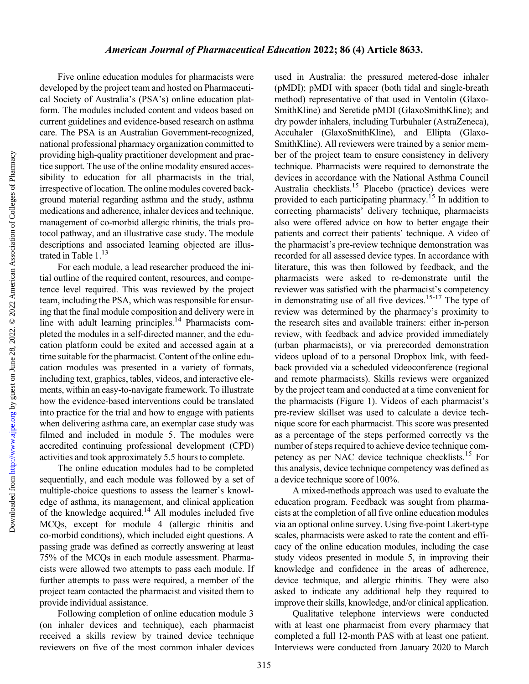Five online education modules for pharmacists were developed by the project team and hosted on Pharmaceutical Society of Australia's (PSA's) online education platform. The modules included content and videos based on current guidelines and evidence-based research on asthma care. The PSA is an Australian Government-recognized, national professional pharmacy organization committed to providing high-quality practitioner development and practice support. The use of the online modality ensured accessibility to education for all pharmacists in the trial, irrespective of location. The online modules covered background material regarding asthma and the study, asthma medications and adherence, inhaler devices and technique, management of co-morbid allergic rhinitis, the trials protocol pathway, and an illustrative case study. The module descriptions and associated learning objected are illus-trated in [Table 1](#page-3-0).<sup>13</sup>

For each module, a lead researcher produced the initial outline of the required content, resources, and competence level required. This was reviewed by the project team, including the PSA, which was responsible for ensuring that the final module composition and delivery were in line with adult learning principles.<sup>14</sup> Pharmacists completed the modules in a self-directed manner, and the education platform could be exited and accessed again at a time suitable for the pharmacist. Content of the online education modules was presented in a variety of formats, including text, graphics, tables, videos, and interactive elements, within an easy-to-navigate framework. To illustrate how the evidence-based interventions could be translated into practice for the trial and how to engage with patients when delivering asthma care, an exemplar case study was filmed and included in module 5. The modules were accredited continuing professional development (CPD) activities and took approximately 5.5 hours to complete.

The online education modules had to be completed sequentially, and each module was followed by a set of multiple-choice questions to assess the learner's knowledge of asthma, its management, and clinical application of the knowledge acquired[.14](#page-8-0) All modules included five MCQs, except for module 4 (allergic rhinitis and co-morbid conditions), which included eight questions. A passing grade was defined as correctly answering at least 75% of the MCQs in each module assessment. Pharmacists were allowed two attempts to pass each module. If further attempts to pass were required, a member of the project team contacted the pharmacist and visited them to provide individual assistance.

Following completion of online education module 3 (on inhaler devices and technique), each pharmacist received a skills review by trained device technique reviewers on five of the most common inhaler devices used in Australia: the pressured metered-dose inhaler (pMDI); pMDI with spacer (both tidal and single-breath method) representative of that used in Ventolin (Glaxo-SmithKline) and Seretide pMDI (GlaxoSmithKline); and dry powder inhalers, including Turbuhaler (AstraZeneca), Accuhaler (GlaxoSmithKline), and Ellipta (Glaxo-SmithKline). All reviewers were trained by a senior member of the project team to ensure consistency in delivery technique. Pharmacists were required to demonstrate the devices in accordance with the National Asthma Council Australia checklists.<sup>15</sup> Placebo (practice) devices were provided to each participating pharmacy.<sup>[15](#page-8-0)</sup> In addition to correcting pharmacists' delivery technique, pharmacists also were offered advice on how to better engage their patients and correct their patients' technique. A video of the pharmacist's pre-review technique demonstration was recorded for all assessed device types. In accordance with literature, this was then followed by feedback, and the pharmacists were asked to re-demonstrate until the reviewer was satisfied with the pharmacist's competency in demonstrating use of all five devices.<sup>[15-17](#page-8-0)</sup> The type of review was determined by the pharmacy's proximity to the research sites and available trainers: either in-person review, with feedback and advice provided immediately (urban pharmacists), or via prerecorded demonstration videos upload of to a personal Dropbox link, with feedback provided via a scheduled videoconference (regional and remote pharmacists). Skills reviews were organized by the project team and conducted at a time convenient for the pharmacists [\(Figure 1](#page-1-0)). Videos of each pharmacist's pre-review skillset was used to calculate a device technique score for each pharmacist. This score was presented as a percentage of the steps performed correctly vs the number of steps required to achieve device technique competency as per NAC device technique checklists[.15](#page-8-0) For this analysis, device technique competency was defined as a device technique score of 100%.

A mixed-methods approach was used to evaluate the education program. Feedback was sought from pharmacists at the completion of all five online education modules via an optional online survey. Using five-point Likert-type scales, pharmacists were asked to rate the content and efficacy of the online education modules, including the case study videos presented in module 5, in improving their knowledge and confidence in the areas of adherence, device technique, and allergic rhinitis. They were also asked to indicate any additional help they required to improve their skills, knowledge, and/or clinical application.

Qualitative telephone interviews were conducted with at least one pharmacist from every pharmacy that completed a full 12-month PAS with at least one patient. Interviews were conducted from January 2020 to March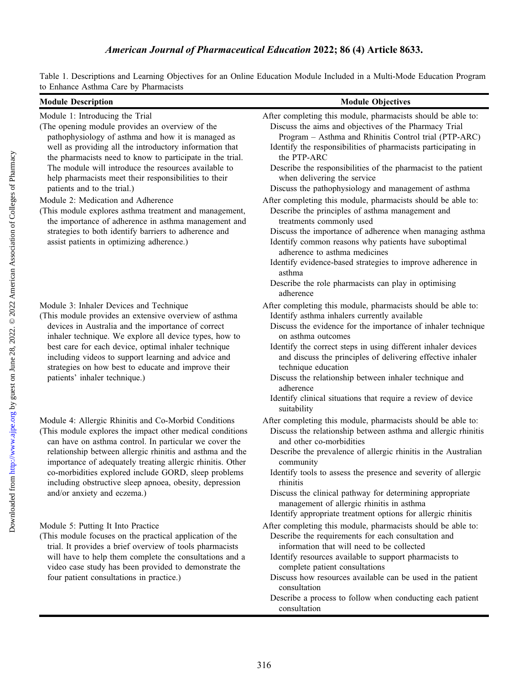<span id="page-3-0"></span>Table 1. Descriptions and Learning Objectives for an Online Education Module Included in a Multi-Mode Education Program to Enhance Asthma Care by Pharmacists

| <b>Module Description</b>                                                                                                                                                                                                                                                                                                                                                                                                                                                                                                                                                                                                                   | <b>Module Objectives</b>                                                                                                                                                                                                                                                                                                                                                                                                                                                                                                                                                                                                                                                                                                                                                                     |
|---------------------------------------------------------------------------------------------------------------------------------------------------------------------------------------------------------------------------------------------------------------------------------------------------------------------------------------------------------------------------------------------------------------------------------------------------------------------------------------------------------------------------------------------------------------------------------------------------------------------------------------------|----------------------------------------------------------------------------------------------------------------------------------------------------------------------------------------------------------------------------------------------------------------------------------------------------------------------------------------------------------------------------------------------------------------------------------------------------------------------------------------------------------------------------------------------------------------------------------------------------------------------------------------------------------------------------------------------------------------------------------------------------------------------------------------------|
| Module 1: Introducing the Trial                                                                                                                                                                                                                                                                                                                                                                                                                                                                                                                                                                                                             | After completing this module, pharmacists should be able to:                                                                                                                                                                                                                                                                                                                                                                                                                                                                                                                                                                                                                                                                                                                                 |
| (The opening module provides an overview of the<br>pathophysiology of asthma and how it is managed as<br>well as providing all the introductory information that<br>the pharmacists need to know to participate in the trial.<br>The module will introduce the resources available to<br>help pharmacists meet their responsibilities to their<br>patients and to the trial.)<br>Module 2: Medication and Adherence<br>(This module explores asthma treatment and management,<br>the importance of adherence in asthma management and<br>strategies to both identify barriers to adherence and<br>assist patients in optimizing adherence.) | Discuss the aims and objectives of the Pharmacy Trial<br>Program - Asthma and Rhinitis Control trial (PTP-ARC)<br>Identify the responsibilities of pharmacists participating in<br>the PTP-ARC<br>Describe the responsibilities of the pharmacist to the patient<br>when delivering the service<br>Discuss the pathophysiology and management of asthma<br>After completing this module, pharmacists should be able to:<br>Describe the principles of asthma management and<br>treatments commonly used<br>Discuss the importance of adherence when managing asthma<br>Identify common reasons why patients have suboptimal<br>adherence to asthma medicines<br>Identify evidence-based strategies to improve adherence in<br>asthma<br>Describe the role pharmacists can play in optimising |
| Module 3: Inhaler Devices and Technique<br>(This module provides an extensive overview of asthma<br>devices in Australia and the importance of correct<br>inhaler technique. We explore all device types, how to<br>best care for each device, optimal inhaler technique<br>including videos to support learning and advice and<br>strategies on how best to educate and improve their<br>patients' inhaler technique.)                                                                                                                                                                                                                     | adherence<br>After completing this module, pharmacists should be able to:<br>Identify asthma inhalers currently available<br>Discuss the evidence for the importance of inhaler technique<br>on asthma outcomes<br>Identify the correct steps in using different inhaler devices<br>and discuss the principles of delivering effective inhaler<br>technique education<br>Discuss the relationship between inhaler technique and<br>adherence<br>Identify clinical situations that require a review of device<br>suitability                                                                                                                                                                                                                                                                  |
| Module 4: Allergic Rhinitis and Co-Morbid Conditions<br>(This module explores the impact other medical conditions<br>can have on asthma control. In particular we cover the<br>relationship between allergic rhinitis and asthma and the<br>importance of adequately treating allergic rhinitis. Other<br>co-morbidities explored include GORD, sleep problems<br>including obstructive sleep apnoea, obesity, depression<br>and/or anxiety and eczema.)                                                                                                                                                                                    | After completing this module, pharmacists should be able to:<br>Discuss the relationship between asthma and allergic rhinitis<br>and other co-morbidities<br>Describe the prevalence of allergic rhinitis in the Australian<br>community<br>Identify tools to assess the presence and severity of allergic<br>rhinitis<br>Discuss the clinical pathway for determining appropriate<br>management of allergic rhinitis in asthma<br>Identify appropriate treatment options for allergic rhinitis                                                                                                                                                                                                                                                                                              |
| Module 5: Putting It Into Practice<br>(This module focuses on the practical application of the<br>trial. It provides a brief overview of tools pharmacists<br>will have to help them complete the consultations and a<br>video case study has been provided to demonstrate the<br>four patient consultations in practice.)                                                                                                                                                                                                                                                                                                                  | After completing this module, pharmacists should be able to:<br>Describe the requirements for each consultation and<br>information that will need to be collected<br>Identify resources available to support pharmacists to<br>complete patient consultations<br>Discuss how resources available can be used in the patient<br>consultation<br>Describe a process to follow when conducting each patient<br>consultation                                                                                                                                                                                                                                                                                                                                                                     |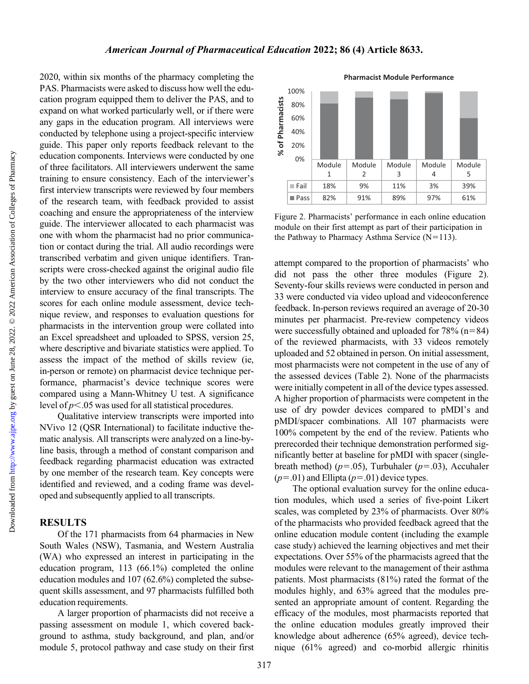2020, within six months of the pharmacy completing the PAS. Pharmacists were asked to discuss how well the education program equipped them to deliver the PAS, and to expand on what worked particularly well, or if there were any gaps in the education program. All interviews were conducted by telephone using a project-specific interview guide. This paper only reports feedback relevant to the education components. Interviews were conducted by one of three facilitators. All interviewers underwent the same training to ensure consistency. Each of the interviewer's first interview transcripts were reviewed by four members of the research team, with feedback provided to assist coaching and ensure the appropriateness of the interview guide. The interviewer allocated to each pharmacist was one with whom the pharmacist had no prior communication or contact during the trial. All audio recordings were transcribed verbatim and given unique identifiers. Transcripts were cross-checked against the original audio file by the two other interviewers who did not conduct the interview to ensure accuracy of the final transcripts. The scores for each online module assessment, device technique review, and responses to evaluation questions for pharmacists in the intervention group were collated into an Excel spreadsheet and uploaded to SPSS, version 25, where descriptive and bivariate statistics were applied. To assess the impact of the method of skills review (ie, in-person or remote) on pharmacist device technique performance, pharmacist's device technique scores were compared using a Mann-Whitney U test. A significance level of  $p<.05$  was used for all statistical procedures.

Qualitative interview transcripts were imported into NVivo 12 (QSR International) to facilitate inductive thematic analysis. All transcripts were analyzed on a line-byline basis, through a method of constant comparison and feedback regarding pharmacist education was extracted by one member of the research team. Key concepts were identified and reviewed, and a coding frame was developed and subsequently applied to all transcripts.

# **RESULTS**

Of the 171 pharmacists from 64 pharmacies in New South Wales (NSW), Tasmania, and Western Australia (WA) who expressed an interest in participating in the education program, 113 (66.1%) completed the online education modules and 107 (62.6%) completed the subsequent skills assessment, and 97 pharmacists fulfilled both education requirements.

A larger proportion of pharmacists did not receive a passing assessment on module 1, which covered background to asthma, study background, and plan, and/or module 5, protocol pathway and case study on their first



Figure 2. Pharmacists' performance in each online education module on their first attempt as part of their participation in the Pathway to Pharmacy Asthma Service  $(N=113)$ .

attempt compared to the proportion of pharmacists' who did not pass the other three modules (Figure 2). Seventy-four skills reviews were conducted in person and 33 were conducted via video upload and videoconference feedback. In-person reviews required an average of 20-30 minutes per pharmacist. Pre-review competency videos were successfully obtained and uploaded for  $78\%$  (n=84) of the reviewed pharmacists, with 33 videos remotely uploaded and 52 obtained in person. On initial assessment, most pharmacists were not competent in the use of any of the assessed devices [\(Table 2\)](#page-5-0). None of the pharmacists were initially competent in all of the device types assessed. A higher proportion of pharmacists were competent in the use of dry powder devices compared to pMDI's and pMDI/spacer combinations. All 107 pharmacists were 100% competent by the end of the review. Patients who prerecorded their technique demonstration performed significantly better at baseline for pMDI with spacer (singlebreath method) ( $p=.05$ ), Turbuhaler ( $p=.03$ ), Accuhaler  $(p=0.01)$  and Ellipta  $(p=0.01)$  device types.

The optional evaluation survey for the online education modules, which used a series of five-point Likert scales, was completed by 23% of pharmacists. Over 80% of the pharmacists who provided feedback agreed that the online education module content (including the example case study) achieved the learning objectives and met their expectations. Over 55% of the pharmacists agreed that the modules were relevant to the management of their asthma patients. Most pharmacists (81%) rated the format of the modules highly, and 63% agreed that the modules presented an appropriate amount of content. Regarding the efficacy of the modules, most pharmacists reported that the online education modules greatly improved their knowledge about adherence (65% agreed), device technique (61% agreed) and co-morbid allergic rhinitis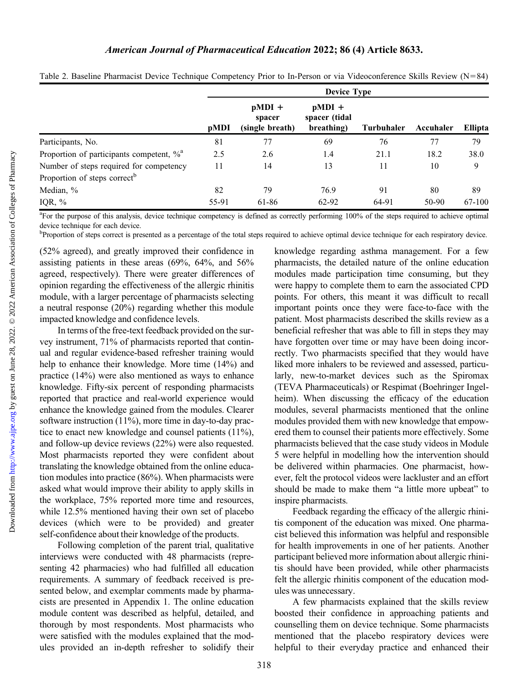|                                                      | <b>Device Type</b> |                                       |                                         |                   |           |         |
|------------------------------------------------------|--------------------|---------------------------------------|-----------------------------------------|-------------------|-----------|---------|
|                                                      | pMDI               | $pMDI +$<br>spacer<br>(single breath) | $pMDI +$<br>spacer (tidal<br>breathing) | <b>Turbuhaler</b> | Accuhaler | Ellipta |
| Participants, No.                                    | 81                 | 77                                    | 69                                      | 76                | 77        | 79      |
| Proportion of participants competent, % <sup>a</sup> | 2.5                | 2.6                                   | 1.4                                     | 21.1              | 18.2      | 38.0    |
| Number of steps required for competency              | 11                 | 14                                    | 13                                      | 11                | 10        | 9       |
| Proportion of steps correct <sup>b</sup>             |                    |                                       |                                         |                   |           |         |
| Median, %                                            | 82                 | 79                                    | 76.9                                    | 91                | 80        | 89      |
| IQR, $%$                                             | 55-91              | 61-86                                 | 62-92                                   | 64-91             | 50-90     | 67-100  |

<span id="page-5-0"></span>Table 2. Baseline Pharmacist Device Technique Competency Prior to In-Person or via Videoconference Skills Review  $(N=84)$ 

<sup>a</sup>For the purpose of this analysis, device technique competency is defined as correctly performing 100% of the steps required to achieve optimal device technique for each device.

<sup>b</sup>Proportion of steps correct is presented as a percentage of the total steps required to achieve optimal device technique for each respiratory device.

(52% agreed), and greatly improved their confidence in assisting patients in these areas (69%, 64%, and 56% agreed, respectively). There were greater differences of opinion regarding the effectiveness of the allergic rhinitis module, with a larger percentage of pharmacists selecting a neutral response (20%) regarding whether this module impacted knowledge and confidence levels.

In terms of the free-text feedback provided on the survey instrument, 71% of pharmacists reported that continual and regular evidence-based refresher training would help to enhance their knowledge. More time (14%) and practice (14%) were also mentioned as ways to enhance knowledge. Fifty-six percent of responding pharmacists reported that practice and real-world experience would enhance the knowledge gained from the modules. Clearer software instruction (11%), more time in day-to-day practice to enact new knowledge and counsel patients (11%), and follow-up device reviews (22%) were also requested. Most pharmacists reported they were confident about translating the knowledge obtained from the online education modules into practice (86%). When pharmacists were asked what would improve their ability to apply skills in the workplace, 75% reported more time and resources, while 12.5% mentioned having their own set of placebo devices (which were to be provided) and greater self-confidence about their knowledge of the products.

Following completion of the parent trial, qualitative interviews were conducted with 48 pharmacists (representing 42 pharmacies) who had fulfilled all education requirements. A summary of feedback received is presented below, and exemplar comments made by pharmacists are presented in Appendix 1. The online education module content was described as helpful, detailed, and thorough by most respondents. Most pharmacists who were satisfied with the modules explained that the modules provided an in-depth refresher to solidify their knowledge regarding asthma management. For a few pharmacists, the detailed nature of the online education modules made participation time consuming, but they were happy to complete them to earn the associated CPD points. For others, this meant it was difficult to recall important points once they were face-to-face with the patient. Most pharmacists described the skills review as a beneficial refresher that was able to fill in steps they may have forgotten over time or may have been doing incorrectly. Two pharmacists specified that they would have liked more inhalers to be reviewed and assessed, particularly, new-to-market devices such as the Spiromax (TEVA Pharmaceuticals) or Respimat (Boehringer Ingelheim). When discussing the efficacy of the education modules, several pharmacists mentioned that the online modules provided them with new knowledge that empowered them to counsel their patients more effectively. Some pharmacists believed that the case study videos in Module 5 were helpful in modelling how the intervention should be delivered within pharmacies. One pharmacist, however, felt the protocol videos were lackluster and an effort should be made to make them "a little more upbeat" to inspire pharmacists.

Feedback regarding the efficacy of the allergic rhinitis component of the education was mixed. One pharmacist believed this information was helpful and responsible for health improvements in one of her patients. Another participant believed more information about allergic rhinitis should have been provided, while other pharmacists felt the allergic rhinitis component of the education modules was unnecessary.

A few pharmacists explained that the skills review boosted their confidence in approaching patients and counselling them on device technique. Some pharmacists mentioned that the placebo respiratory devices were helpful to their everyday practice and enhanced their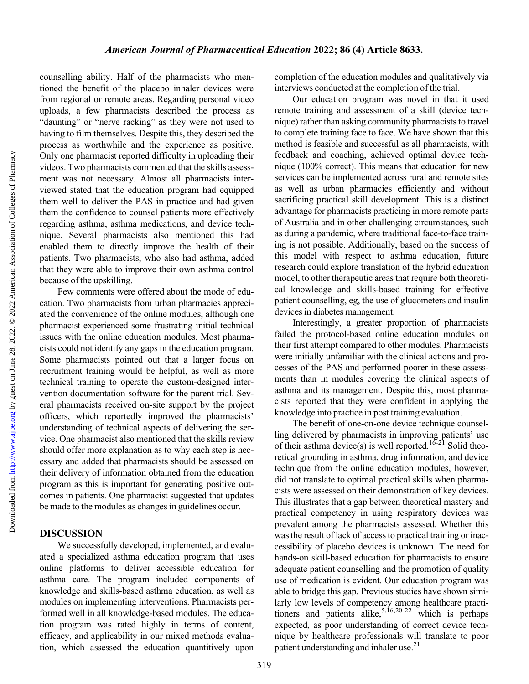Downloaded from

counselling ability. Half of the pharmacists who mentioned the benefit of the placebo inhaler devices were from regional or remote areas. Regarding personal video uploads, a few pharmacists described the process as "daunting" or "nerve racking" as they were not used to having to film themselves. Despite this, they described the process as worthwhile and the experience as positive. Only one pharmacist reported difficulty in uploading their videos. Two pharmacists commented that the skills assessment was not necessary. Almost all pharmacists interviewed stated that the education program had equipped them well to deliver the PAS in practice and had given them the confidence to counsel patients more effectively regarding asthma, asthma medications, and device technique. Several pharmacists also mentioned this had enabled them to directly improve the health of their patients. Two pharmacists, who also had asthma, added that they were able to improve their own asthma control because of the upskilling.

Few comments were offered about the mode of education. Two pharmacists from urban pharmacies appreciated the convenience of the online modules, although one pharmacist experienced some frustrating initial technical issues with the online education modules. Most pharmacists could not identify any gaps in the education program. Some pharmacists pointed out that a larger focus on recruitment training would be helpful, as well as more technical training to operate the custom-designed intervention documentation software for the parent trial. Several pharmacists received on-site support by the project officers, which reportedly improved the pharmacists' understanding of technical aspects of delivering the service. One pharmacist also mentioned that the skills review should offer more explanation as to why each step is necessary and added that pharmacists should be assessed on their delivery of information obtained from the education program as this is important for generating positive outcomes in patients. One pharmacist suggested that updates be made to the modules as changes in guidelines occur.

## DISCUSSION

We successfully developed, implemented, and evaluated a specialized asthma education program that uses online platforms to deliver accessible education for asthma care. The program included components of knowledge and skills-based asthma education, as well as modules on implementing interventions. Pharmacists performed well in all knowledge-based modules. The education program was rated highly in terms of content, efficacy, and applicability in our mixed methods evaluation, which assessed the education quantitively upon

completion of the education modules and qualitatively via interviews conducted at the completion of the trial.

Our education program was novel in that it used remote training and assessment of a skill (device technique) rather than asking community pharmacists to travel to complete training face to face. We have shown that this method is feasible and successful as all pharmacists, with feedback and coaching, achieved optimal device technique (100% correct). This means that education for new services can be implemented across rural and remote sites as well as urban pharmacies efficiently and without sacrificing practical skill development. This is a distinct advantage for pharmacists practicing in more remote parts of Australia and in other challenging circumstances, such as during a pandemic, where traditional face-to-face training is not possible. Additionally, based on the success of this model with respect to asthma education, future research could explore translation of the hybrid education model, to other therapeutic areas that require both theoretical knowledge and skills-based training for effective patient counselling, eg, the use of glucometers and insulin devices in diabetes management.

Interestingly, a greater proportion of pharmacists failed the protocol-based online education modules on their first attempt compared to other modules. Pharmacists were initially unfamiliar with the clinical actions and processes of the PAS and performed poorer in these assessments than in modules covering the clinical aspects of asthma and its management. Despite this, most pharmacists reported that they were confident in applying the knowledge into practice in post training evaluation.

The benefit of one-on-one device technique counselling delivered by pharmacists in improving patients' use of their asthma device(s) is well reported.[16-21](#page-8-0) Solid theoretical grounding in asthma, drug information, and device technique from the online education modules, however, did not translate to optimal practical skills when pharmacists were assessed on their demonstration of key devices. This illustrates that a gap between theoretical mastery and practical competency in using respiratory devices was prevalent among the pharmacists assessed. Whether this was the result of lack of access to practical training or inaccessibility of placebo devices is unknown. The need for hands-on skill-based education for pharmacists to ensure adequate patient counselling and the promotion of quality use of medication is evident. Our education program was able to bridge this gap. Previous studies have shown similarly low levels of competency among healthcare practi-tioners and patients alike,<sup>5,[16,20-22](#page-8-0)</sup> which is perhaps expected, as poor understanding of correct device technique by healthcare professionals will translate to poor patient understanding and inhaler use.<sup>21</sup>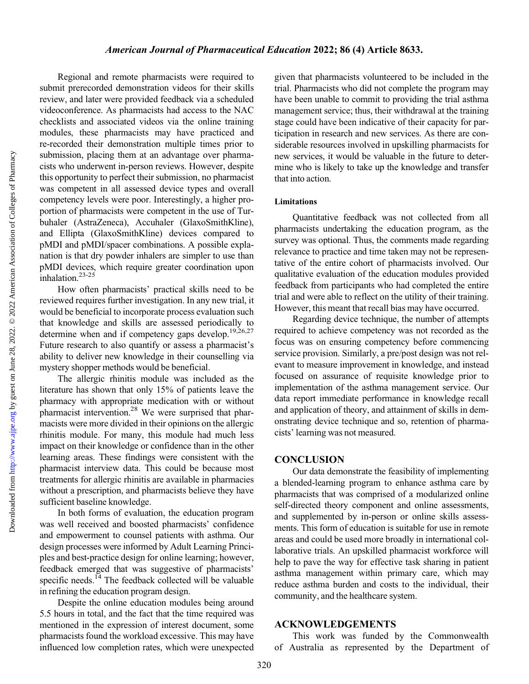Regional and remote pharmacists were required to submit prerecorded demonstration videos for their skills review, and later were provided feedback via a scheduled videoconference. As pharmacists had access to the NAC checklists and associated videos via the online training modules, these pharmacists may have practiced and re-recorded their demonstration multiple times prior to submission, placing them at an advantage over pharmacists who underwent in-person reviews. However, despite this opportunity to perfect their submission, no pharmacist was competent in all assessed device types and overall competency levels were poor. Interestingly, a higher proportion of pharmacists were competent in the use of Turbuhaler (AstraZeneca), Accuhaler (GlaxoSmithKline), and Ellipta (GlaxoSmithKline) devices compared to pMDI and pMDI/spacer combinations. A possible explanation is that dry powder inhalers are simpler to use than pMDI devices, which require greater coordination upon inhalation. $23-25$  $23-25$ 

How often pharmacists' practical skills need to be reviewed requires further investigation. In any new trial, it would be beneficial to incorporate process evaluation such that knowledge and skills are assessed periodically to determine when and if competency gaps develop.<sup>19[,26,27](#page-9-0)</sup> Future research to also quantify or assess a pharmacist's ability to deliver new knowledge in their counselling via mystery shopper methods would be beneficial.

The allergic rhinitis module was included as the literature has shown that only 15% of patients leave the pharmacy with appropriate medication with or without pharmacist intervention[.28](#page-9-0) We were surprised that pharmacists were more divided in their opinions on the allergic rhinitis module. For many, this module had much less impact on their knowledge or confidence than in the other learning areas. These findings were consistent with the pharmacist interview data. This could be because most treatments for allergic rhinitis are available in pharmacies without a prescription, and pharmacists believe they have sufficient baseline knowledge.

In both forms of evaluation, the education program was well received and boosted pharmacists' confidence and empowerment to counsel patients with asthma. Our design processes were informed by Adult Learning Principles and best-practice design for online learning; however, feedback emerged that was suggestive of pharmacists' specific needs. $^{14}$  The feedback collected will be valuable in refining the education program design.

Despite the online education modules being around 5.5 hours in total, and the fact that the time required was mentioned in the expression of interest document, some pharmacists found the workload excessive. This may have influenced low completion rates, which were unexpected given that pharmacists volunteered to be included in the trial. Pharmacists who did not complete the program may have been unable to commit to providing the trial asthma management service; thus, their withdrawal at the training stage could have been indicative of their capacity for participation in research and new services. As there are considerable resources involved in upskilling pharmacists for new services, it would be valuable in the future to determine who is likely to take up the knowledge and transfer that into action.

#### Limitations

Quantitative feedback was not collected from all pharmacists undertaking the education program, as the survey was optional. Thus, the comments made regarding relevance to practice and time taken may not be representative of the entire cohort of pharmacists involved. Our qualitative evaluation of the education modules provided feedback from participants who had completed the entire trial and were able to reflect on the utility of their training. However, this meant that recall bias may have occurred.

Regarding device technique, the number of attempts required to achieve competency was not recorded as the focus was on ensuring competency before commencing service provision. Similarly, a pre/post design was not relevant to measure improvement in knowledge, and instead focused on assurance of requisite knowledge prior to implementation of the asthma management service. Our data report immediate performance in knowledge recall and application of theory, and attainment of skills in demonstrating device technique and so, retention of pharmacists' learning was not measured.

## **CONCLUSION**

Our data demonstrate the feasibility of implementing a blended-learning program to enhance asthma care by pharmacists that was comprised of a modularized online self-directed theory component and online assessments, and supplemented by in-person or online skills assessments. This form of education is suitable for use in remote areas and could be used more broadly in international collaborative trials. An upskilled pharmacist workforce will help to pave the way for effective task sharing in patient asthma management within primary care, which may reduce asthma burden and costs to the individual, their community, and the healthcare system.

#### ACKNOWLEDGEMENTS

This work was funded by the Commonwealth of Australia as represented by the Department of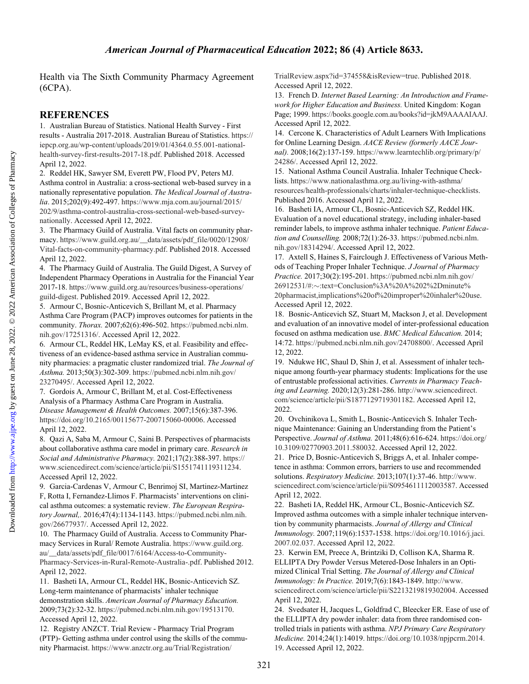# American Journal of Pharmaceutical Education 2022; 86 (4) Article 8633.

<span id="page-8-0"></span>Health via The Sixth Community Pharmacy Agreement (6CPA).

## **REFERENCES**

1. Australian Bureau of Statistics. National Health Survey - First results - Australia 2017-2018. Australian Bureau of Statistics. [https://](https://iepcp.org.au/wp-content/uploads/2019/01/4364.0.55.001-national-health-survey-first-results-2017-18.pdf) [iepcp.org.au/wp-content/uploads/2019/01/4364.0.55.001-national](https://iepcp.org.au/wp-content/uploads/2019/01/4364.0.55.001-national-health-survey-first-results-2017-18.pdf)[health-survey-first-results-2017-18.pdf](https://iepcp.org.au/wp-content/uploads/2019/01/4364.0.55.001-national-health-survey-first-results-2017-18.pdf). Published 2018. Accessed April 12, 2022.

2. Reddel HK, Sawyer SM, Everett PW, Flood PV, Peters MJ. Asthma control in Australia: a cross-sectional web-based survey in a nationally representative population. The Medical Journal of Australia. 2015;202(9):492-497. [https://www.mja.com.au/journal/2015/](https://www.mja.com.au/journal/2015/202/9/asthma-control-australia-cross-sectional-web-based-survey-nationally) [202/9/asthma-control-australia-cross-sectional-web-based-survey](https://www.mja.com.au/journal/2015/202/9/asthma-control-australia-cross-sectional-web-based-survey-nationally)[nationally.](https://www.mja.com.au/journal/2015/202/9/asthma-control-australia-cross-sectional-web-based-survey-nationally) Accessed April 12, 2022.

3. The Pharmacy Guild of Australia. Vital facts on community pharmacy. [https://www.guild.org.au/\\_\\_data/assets/pdf\\_file/0020/12908/](https://www.guild.org.au/__data/assets/pdf_file/0020/12908/Vital-facts-on-community-pharmacy.pdf) [Vital-facts-on-community-pharmacy.pdf](https://www.guild.org.au/__data/assets/pdf_file/0020/12908/Vital-facts-on-community-pharmacy.pdf). Published 2018. Accessed April 12, 2022.

4. The Pharmacy Guild of Australia. The Guild Digest, A Survey of Independent Pharmacy Operations in Australia for the Financial Year 2017-18. [https://www.guild.org.au/resources/business-operations/](https://www.guild.org.au/resources/business-operations/guild-digest) [guild-digest.](https://www.guild.org.au/resources/business-operations/guild-digest) Published 2019. Accessed April 12, 2022.

5. Armour C, Bosnic-Anticevich S, Brillant M, et al. Pharmacy Asthma Care Program (PACP) improves outcomes for patients in the community. Thorax. 2007;62(6):496-502. [https://pubmed.ncbi.nlm.](https://pubmed.ncbi.nlm.nih.gov/17251316/) [nih.gov/17251316/.](https://pubmed.ncbi.nlm.nih.gov/17251316/) Accessed April 12, 2022.

6. Armour CL, Reddel HK, LeMay KS, et al. Feasibility and effectiveness of an evidence-based asthma service in Australian community pharmacies: a pragmatic cluster randomized trial. The Journal of Asthma. 2013;50(3):302-309. [https://pubmed.ncbi.nlm.nih.gov/](https://pubmed.ncbi.nlm.nih.gov/23270495/) [23270495/](https://pubmed.ncbi.nlm.nih.gov/23270495/). Accessed April 12, 2022.

7. Gordois A, Armour C, Brillant M, et al. Cost-Effectiveness Analysis of a Pharmacy Asthma Care Program in Australia. Disease Management & Health Outcomes. 2007;15(6):387-396. <https://doi.org/10.2165/00115677-200715060-00006>. Accessed April 12, 2022.

8. Qazi A, Saba M, Armour C, Saini B. Perspectives of pharmacists about collaborative asthma care model in primary care. Research in Social and Administrative Pharmacy. 2021;17(2):388-397. [https://](https://www.sciencedirect.com/science/article/pii/S1551741119311234) [www.sciencedirect.com/science/article/pii/S1551741119311234.](https://www.sciencedirect.com/science/article/pii/S1551741119311234) Accessed April 12, 2022.

9. Garcia-Cardenas V, Armour C, Benrimoj SI, Martinez-Martinez F, Rotta I, Fernandez-Llimos F. Pharmacists' interventions on clinical asthma outcomes: a systematic review. The European Respiratory Journal,. 2016;47(4):1134-1143. [https://pubmed.ncbi.nlm.nih.](https://pubmed.ncbi.nlm.nih.gov/26677937/) [gov/26677937/](https://pubmed.ncbi.nlm.nih.gov/26677937/). Accessed April 12, 2022.

10. The Pharmacy Guild of Australia. Access to Community Pharmacy Services in Rural/ Remote Australia. [https://www.guild.org.](https://www.guild.org.au/__data/assets/pdf_file/0017/6164/Access-to-Community-Pharmacy-Services-in-Rural-Remote-Australia-.pdf) [au/\\_\\_data/assets/pdf\\_file/0017/6164/Access-to-Community-](https://www.guild.org.au/__data/assets/pdf_file/0017/6164/Access-to-Community-Pharmacy-Services-in-Rural-Remote-Australia-.pdf)[Pharmacy-Services-in-Rural-Remote-Australia-.pdf.](https://www.guild.org.au/__data/assets/pdf_file/0017/6164/Access-to-Community-Pharmacy-Services-in-Rural-Remote-Australia-.pdf) Published 2012. April 12, 2022.

11. Basheti IA, Armour CL, Reddel HK, Bosnic-Anticevich SZ. Long-term maintenance of pharmacists' inhaler technique demonstration skills. American Journal of Pharmacy Education. 2009;73(2):32-32. [https://pubmed.ncbi.nlm.nih.gov/19513170.](https://pubmed.ncbi.nlm.nih.gov/19513170) Accessed April 12, 2022.

12. Registry ANZCT. Trial Review - Pharmacy Trial Program (PTP)- Getting asthma under control using the skills of the community Pharmacist. [https://www.anzctr.org.au/Trial/Registration/](https://www.anzctr.org.au/Trial/Registration/TrialReview.aspx?id=374558&isReview=true)

[TrialReview.aspx?id=374558&isReview=true.](https://www.anzctr.org.au/Trial/Registration/TrialReview.aspx?id=374558&isReview=true) Published 2018. Accessed April 12, 2022.

13. French D. Internet Based Learning: An Introduction and Framework for Higher Education and Business. United Kingdom: Kogan Page; 1999. <https://books.google.com.au/books?id=jkM9AAAAIAAJ>. Accessed April 12, 2022.

14. Cercone K. Characteristics of Adult Learners With Implications for Online Learning Design. AACE Review (formerly AACE Journal). 2008;16(2):137-159. [https://www.learntechlib.org/primary/p/](https://www.learntechlib.org/primary/p/24286/) [24286/.](https://www.learntechlib.org/primary/p/24286/) Accessed April 12, 2022.

15. National Asthma Council Australia. Inhaler Technique Checklists. [https://www.nationalasthma.org.au/living-with-asthma/](https://www.nationalasthma.org.au/living-with-asthma/resources/health-professionals/charts/inhaler-technique-checklists) [resources/health-professionals/charts/inhaler-technique-checklists.](https://www.nationalasthma.org.au/living-with-asthma/resources/health-professionals/charts/inhaler-technique-checklists) Published 2016. Accessed April 12, 2022.

16. Basheti IA, Armour CL, Bosnic-Anticevich SZ, Reddel HK. Evaluation of a novel educational strategy, including inhaler-based reminder labels, to improve asthma inhaler technique. Patient Education and Counselling. 2008;72(1):26-33. [https://pubmed.ncbi.nlm.](https://pubmed.ncbi.nlm.nih.gov/18314294/) [nih.gov/18314294/.](https://pubmed.ncbi.nlm.nih.gov/18314294/) Accessed April 12, 2022.

17. Axtell S, Haines S, Fairclough J. Effectiveness of Various Methods of Teaching Proper Inhaler Technique. J Journal of Pharmacy Practice. 2017;30(2):195-201. [https://pubmed.ncbi.nlm.nih.gov/](https://pubmed.ncbi.nlm.nih.gov/26912531/#:<:text=Conclusion%3A%20A%202%2Dminute%20pharmacist,implications%20of%20improper%20inhaler%20use) 26912531/#:~[:text=Conclusion%3A%20A%202%2Dminute%](https://pubmed.ncbi.nlm.nih.gov/26912531/#:<:text=Conclusion%3A%20A%202%2Dminute%20pharmacist,implications%20of%20improper%20inhaler%20use) [20pharmacist,implications%20of%20improper%20inhaler%20use.](https://pubmed.ncbi.nlm.nih.gov/26912531/#:<:text=Conclusion%3A%20A%202%2Dminute%20pharmacist,implications%20of%20improper%20inhaler%20use) Accessed April 12, 2022.

18. Bosnic-Anticevich SZ, Stuart M, Mackson J, et al. Development and evaluation of an innovative model of inter-professional education focused on asthma medication use. BMC Medical Education. 2014; 14:72. <https://pubmed.ncbi.nlm.nih.gov/24708800/>. Accessed April 12, 2022.

19. Ndukwe HC, Shaul D, Shin J, et al. Assessment of inhaler technique among fourth-year pharmacy students: Implications for the use of entrustable professional activities. Currents in Pharmacy Teaching and Learning. 2020;12(3):281-286. [http://www.sciencedirect.](http://www.sciencedirect.com/science/article/pii/S1877129719301182) [com/science/article/pii/S1877129719301182](http://www.sciencedirect.com/science/article/pii/S1877129719301182). Accessed April 12, 2022.

20. Ovchinikova L, Smith L, Bosnic-Anticevich S. Inhaler Technique Maintenance: Gaining an Understanding from the Patient's Perspective. Journal of Asthma. 2011;48(6):616-624. [https://doi.org/](https://doi.org/10.3109/02770903.2011.580032) [10.3109/02770903.2011.580032](https://doi.org/10.3109/02770903.2011.580032). Accessed April 12, 2022.

21. Price D, Bosnic-Anticevich S, Briggs A, et al. Inhaler competence in asthma: Common errors, barriers to use and recommended solutions. Respiratory Medicine. 2013;107(1):37-46. [http://www.](http://www.sciencedirect.com/science/article/pii/S0954611112003587) [sciencedirect.com/science/article/pii/S0954611112003587](http://www.sciencedirect.com/science/article/pii/S0954611112003587). Accessed April 12, 2022.

22. Basheti IA, Reddel HK, Armour CL, Bosnic-Anticevich SZ. Improved asthma outcomes with a simple inhaler technique intervention by community pharmacists. Journal of Allergy and Clinical Immunology. 2007;119(6):1537-1538. [https://doi.org/10.1016/j.jaci.](https://doi.org/10.1016/j.jaci.2007.02.037) [2007.02.037](https://doi.org/10.1016/j.jaci.2007.02.037). Accessed April 12, 2022.

23. Kerwin EM, Preece A, Brintziki D, Collison KA, Sharma R. ELLIPTA Dry Powder Versus Metered-Dose Inhalers in an Optimized Clinical Trial Setting. The Journal of Allergy and Clinical Immunology: In Practice. 2019;7(6):1843-1849. [http://www.](http://www.sciencedirect.com/science/article/pii/S2213219819302004) [sciencedirect.com/science/article/pii/S2213219819302004](http://www.sciencedirect.com/science/article/pii/S2213219819302004). Accessed April 12, 2022.

24. Svedsater H, Jacques L, Goldfrad C, Bleecker ER. Ease of use of the ELLIPTA dry powder inhaler: data from three randomised controlled trials in patients with asthma. NPJ Primary Care Respiratory Medicine. 2014;24(1):14019. [https://doi.org/10.1038/npjpcrm.2014.](https://doi.org/10.1038/npjpcrm.2014.19) [19](https://doi.org/10.1038/npjpcrm.2014.19). Accessed April 12, 2022.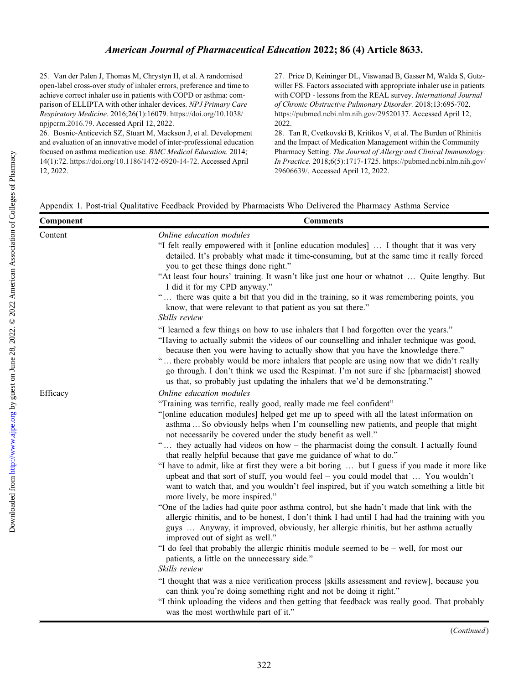<span id="page-9-0"></span>25. Van der Palen J, Thomas M, Chrystyn H, et al. A randomised open-label cross-over study of inhaler errors, preference and time to achieve correct inhaler use in patients with COPD or asthma: comparison of ELLIPTA with other inhaler devices. NPJ Primary Care Respiratory Medicine. 2016;26(1):16079. [https://doi.org/10.1038/](https://doi.org/10.1038/npjpcrm.2016.79) [npjpcrm.2016.79](https://doi.org/10.1038/npjpcrm.2016.79). Accessed April 12, 2022.

26. Bosnic-Anticevich SZ, Stuart M, Mackson J, et al. Development and evaluation of an innovative model of inter-professional education focused on asthma medication use. BMC Medical Education. 2014; 14(1):72. <https://doi.org/10.1186/1472-6920-14-72>. Accessed April 12, 2022.

27. Price D, Keininger DL, Viswanad B, Gasser M, Walda S, Gutzwiller FS. Factors associated with appropriate inhaler use in patients with COPD - lessons from the REAL survey. International Journal of Chronic Obstructive Pulmonary Disorder. 2018;13:695-702. <https://pubmed.ncbi.nlm.nih.gov/29520137>. Accessed April 12, 2022.

28. Tan R, Cvetkovski B, Kritikos V, et al. The Burden of Rhinitis and the Impact of Medication Management within the Community Pharmacy Setting. The Journal of Allergy and Clinical Immunology: In Practice. 2018;6(5):1717-1725. [https://pubmed.ncbi.nlm.nih.gov/](https://pubmed.ncbi.nlm.nih.gov/29606639/) [29606639/](https://pubmed.ncbi.nlm.nih.gov/29606639/). Accessed April 12, 2022.

|  |  |  | Appendix 1. Post-trial Qualitative Feedback Provided by Pharmacists Who Delivered the Pharmacy Asthma Service |  |
|--|--|--|---------------------------------------------------------------------------------------------------------------|--|
|--|--|--|---------------------------------------------------------------------------------------------------------------|--|

| Component | <b>Comments</b>                                                                                                                                                                                                                                                                                                                                                                                                                                                                                                                                                                                                                                                                                                                                                                                                                                                                                                                                                                                                                                                                                                                                                                                                                                                                                                                 |
|-----------|---------------------------------------------------------------------------------------------------------------------------------------------------------------------------------------------------------------------------------------------------------------------------------------------------------------------------------------------------------------------------------------------------------------------------------------------------------------------------------------------------------------------------------------------------------------------------------------------------------------------------------------------------------------------------------------------------------------------------------------------------------------------------------------------------------------------------------------------------------------------------------------------------------------------------------------------------------------------------------------------------------------------------------------------------------------------------------------------------------------------------------------------------------------------------------------------------------------------------------------------------------------------------------------------------------------------------------|
| Content   | Online education modules<br>"I felt really empowered with it [online education modules]  I thought that it was very<br>detailed. It's probably what made it time-consuming, but at the same time it really forced<br>you to get these things done right."<br>"At least four hours' training. It wasn't like just one hour or whatnot  Quite lengthy. But<br>I did it for my CPD anyway."<br>" there was quite a bit that you did in the training, so it was remembering points, you<br>know, that were relevant to that patient as you sat there."<br>Skills review                                                                                                                                                                                                                                                                                                                                                                                                                                                                                                                                                                                                                                                                                                                                                             |
|           | "I learned a few things on how to use inhalers that I had forgotten over the years."<br>"Having to actually submit the videos of our counselling and inhaler technique was good,<br>because then you were having to actually show that you have the knowledge there."<br>" there probably would be more inhalers that people are using now that we didn't really<br>go through. I don't think we used the Respimat. I'm not sure if she [pharmacist] showed<br>us that, so probably just updating the inhalers that we'd be demonstrating."                                                                                                                                                                                                                                                                                                                                                                                                                                                                                                                                                                                                                                                                                                                                                                                     |
| Efficacy  | Online education modules<br>"Training was terrific, really good, really made me feel confident"<br>"[online education modules] helped get me up to speed with all the latest information on<br>asthma So obviously helps when I'm counselling new patients, and people that might<br>not necessarily be covered under the study benefit as well."<br>" they actually had videos on how – the pharmacist doing the consult. I actually found<br>that really helpful because that gave me guidance of what to do."<br>"I have to admit, like at first they were a bit boring  but I guess if you made it more like<br>upbeat and that sort of stuff, you would feel - you could model that  You wouldn't<br>want to watch that, and you wouldn't feel inspired, but if you watch something a little bit<br>more lively, be more inspired."<br>"One of the ladies had quite poor asthma control, but she hadn't made that link with the<br>allergic rhinitis, and to be honest, I don't think I had until I had had the training with you<br>guys  Anyway, it improved, obviously, her allergic rhinitis, but her asthma actually<br>improved out of sight as well."<br>"I do feel that probably the allergic rhinitis module seemed to be $-$ well, for most our<br>patients, a little on the unnecessary side."<br>Skills review |
|           | "I thought that was a nice verification process [skills assessment and review], because you<br>can think you're doing something right and not be doing it right."<br>"I think uploading the videos and then getting that feedback was really good. That probably<br>was the most worthwhile part of it."                                                                                                                                                                                                                                                                                                                                                                                                                                                                                                                                                                                                                                                                                                                                                                                                                                                                                                                                                                                                                        |